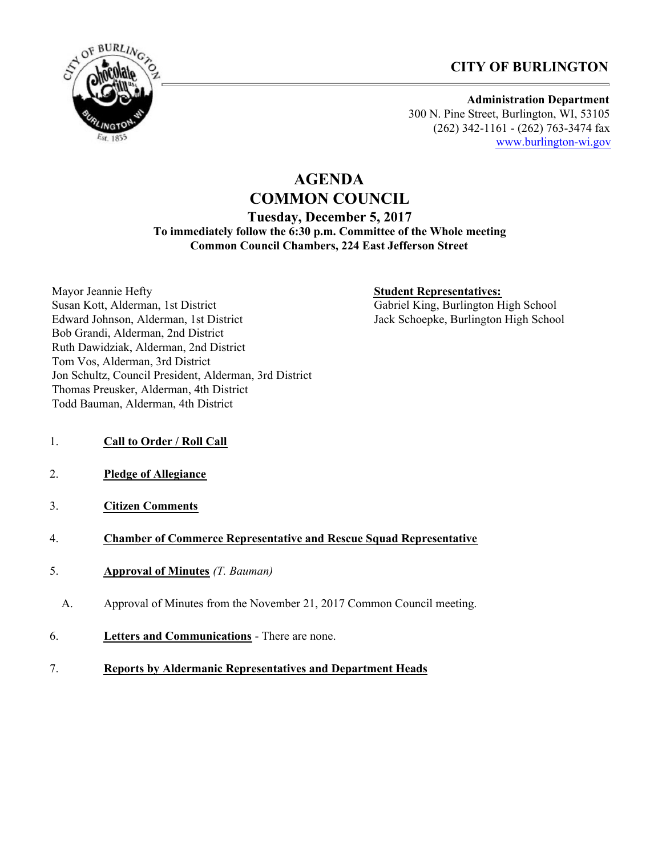



#### **Administration Department** 300 N. Pine Street, Burlington, WI, 53105 (262) 342-1161 - (262) 763-3474 fax [www.burlington-wi.gov](http://www.burlington-wi.gov)

# **AGENDA COMMON COUNCIL Tuesday, December 5, 2017 To immediately follow the 6:30 p.m. Committee of the Whole meeting Common Council Chambers, 224 East Jefferson Street**

Mayor Jeannie Hefty Susan Kott, Alderman, 1st District Edward Johnson, Alderman, 1st District Bob Grandi, Alderman, 2nd District Ruth Dawidziak, Alderman, 2nd District Tom Vos, Alderman, 3rd District Jon Schultz, Council President, Alderman, 3rd District Thomas Preusker, Alderman, 4th District Todd Bauman, Alderman, 4th District

## **Student Representatives:**

Gabriel King, Burlington High School Jack Schoepke, Burlington High School

- 1. **Call to Order / Roll Call**
- 2. **Pledge of Allegiance**
- 3. **Citizen Comments**

#### 4. **Chamber of Commerce Representative and Rescue Squad Representative**

- 5. **Approval of Minutes** *(T. Bauman)*
	- A. Approval of Minutes from the November 21, 2017 Common Council meeting.
- 6. **Letters and Communications** There are none.
- 7. **Reports by Aldermanic Representatives and Department Heads**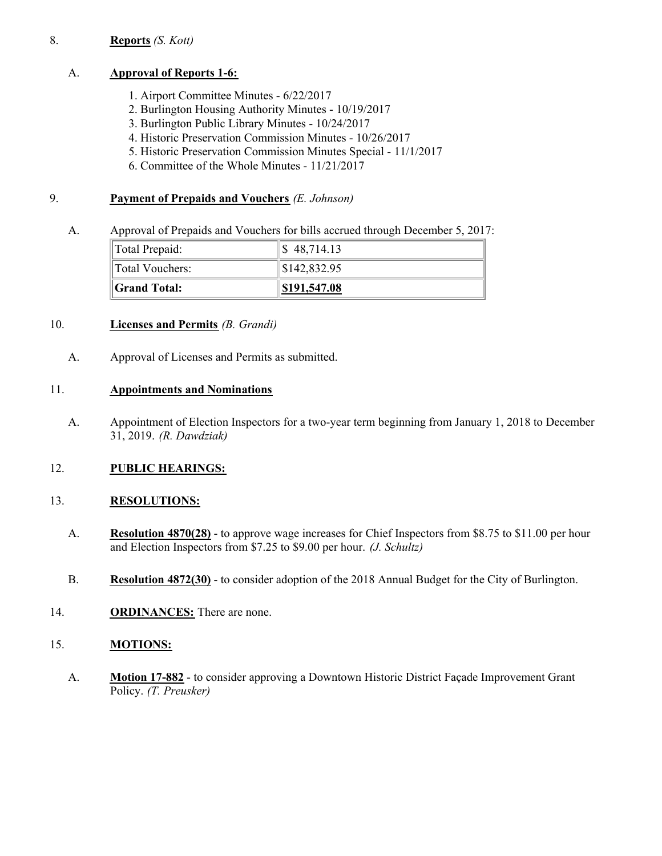#### 8. **Reports** *(S. Kott)*

#### A. **Approval of Reports 1-6:**

- 1. Airport Committee Minutes 6/22/2017
- 2. Burlington Housing Authority Minutes 10/19/2017
- 3. Burlington Public Library Minutes 10/24/2017
- 4. Historic Preservation Commission Minutes 10/26/2017
- 5. Historic Preservation Commission Minutes Special 11/1/2017
- 6. Committee of the Whole Minutes 11/21/2017

#### 9. **Payment of Prepaids and Vouchers** *(E. Johnson)*

A. Approval of Prepaids and Vouchers for bills accrued through December 5, 2017:

| Total Prepaid:  | $\frac{1}{2}$ 48,714.13    |
|-----------------|----------------------------|
| Total Vouchers: | $\frac{1}{1}$ \$142,832.95 |
| Grand Total:    | \$191,547.08               |

## 10. **Licenses and Permits** *(B. Grandi)*

A. Approval of Licenses and Permits as submitted.

#### 11. **Appointments and Nominations**

A. Appointment of Election Inspectors for a two-year term beginning from January 1, 2018 to December 31, 2019. *(R. Dawdziak)*

#### 12. **PUBLIC HEARINGS:**

#### 13. **RESOLUTIONS:**

- A. **Resolution 4870(28)** to approve wage increases for Chief Inspectors from \$8.75 to \$11.00 per hour and Election Inspectors from \$7.25 to \$9.00 per hour. *(J. Schultz)*
- B. **Resolution 4872(30)** to consider adoption of the 2018 Annual Budget for the City of Burlington.
- 14. **ORDINANCES:** There are none.

## 15. **MOTIONS:**

A. **Motion 17-882** - to consider approving a Downtown Historic District Façade Improvement Grant Policy. *(T. Preusker)*